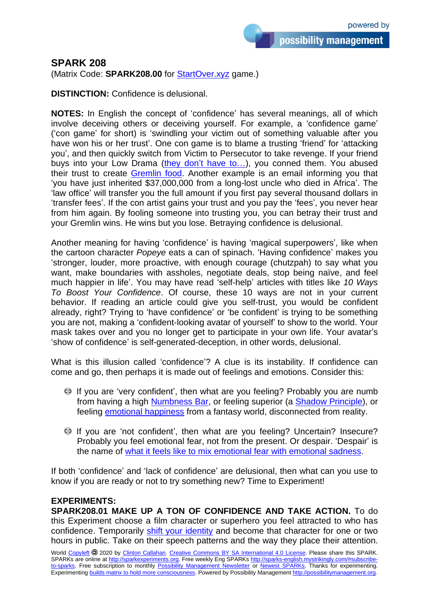## **SPARK 208**

(Matrix Code: **SPARK208.00** for [StartOver.xyz](http://startoverxyz.mystrikingly.com/) game.)

**DISTINCTION:** Confidence is delusional.

**NOTES:** In English the concept of 'confidence' has several meanings, all of which involve deceiving others or deceiving yourself. For example, a 'confidence game' ('con game' for short) is 'swindling your victim out of something valuable after you have won his or her trust'. One con game is to blame a trusting 'friend' for 'attacking you', and then quickly switch from Victim to Persecutor to take revenge. If your friend buys into your Low Drama [\(they don't have to…\)](http://fairunfair.mystrikingly.com/), you conned them. You abused their trust to create [Gremlin food.](http://yourgremlin.mystrikingly.com/) Another example is an email informing you that 'you have just inherited \$37,000,000 from a long-lost uncle who died in Africa'. The 'law office' will transfer you the full amount if you first pay several thousand dollars in 'transfer fees'. If the con artist gains your trust and you pay the 'fees', you never hear from him again. By fooling someone into trusting you, you can betray their trust and your Gremlin wins. He wins but you lose. Betraying confidence is delusional.

Another meaning for having 'confidence' is having 'magical superpowers', like when the cartoon character *Popeye* eats a can of spinach. 'Having confidence' makes you 'stronger, louder, more proactive, with enough courage (chutzpah) to say what you want, make boundaries with assholes, negotiate deals, stop being naïve, and feel much happier in life'. You may have read 'self-help' articles with titles like *10 Ways To Boost Your Confidence*. Of course, these 10 ways are not in your current behavior. If reading an article could give you self-trust, you would be confident already, right? Trying to 'have confidence' or 'be confident' is trying to be something you are not, making a 'confident-looking avatar of yourself' to show to the world. Your mask takes over and you no longer get to participate in your own life. Your avatar's 'show of confidence' is self-generated-deception, in other words, delusional.

What is this illusion called 'confidence'? A clue is its instability. If confidence can come and go, then perhaps it is made out of feelings and emotions. Consider this:

- If you are 'very confident', then what are you feeling? Probably you are numb from having a high [Numbness Bar,](http://numbnessbar.mystrikingly.com/) or feeling superior (a [Shadow Principle\)](http://shadowprinciples.mystrikingly.com/), or feeling [emotional happiness](http://4emotions.mystrikingly.com/) from a fantasy world, disconnected from reality.
- If you are 'not confident', then what are you feeling? Uncertain? Insecure? Probably you feel emotional fear, not from the present. Or despair. 'Despair' is the name of [what it feels like to mix](http://unmixemotions.mystrikingly.com/) emotional fear with emotional sadness.

If both 'confidence' and 'lack of confidence' are delusional, then what can you use to know if you are ready or not to try something new? Time to Experiment!

## **EXPERIMENTS:**

**SPARK208.01 MAKE UP A TON OF CONFIDENCE AND TAKE ACTION.** To do this Experiment choose a film character or superhero you feel attracted to who has confidence. Temporarily [shift your identity](shiftidentity.mystrikingly.com) and become that character for one or two hours in public. Take on their speech patterns and the way they place their attention.